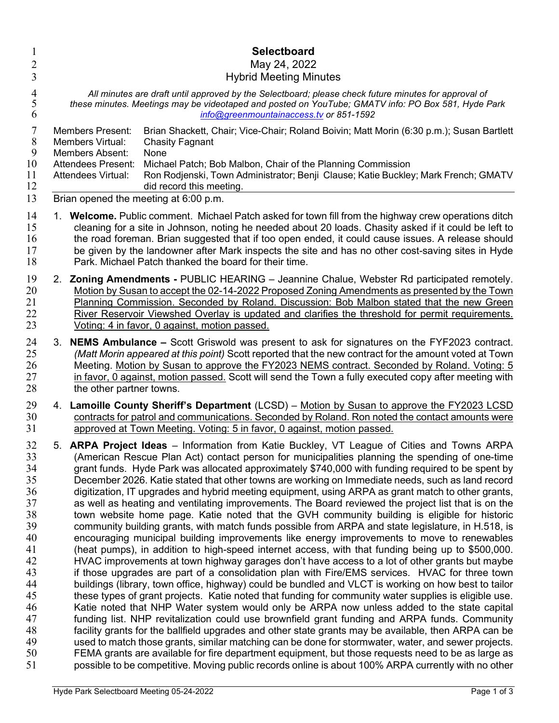| $\mathbf{1}$                        | Selectboard                                                                                                                                                                                                                                                                                                                                                                                                                                                                             |
|-------------------------------------|-----------------------------------------------------------------------------------------------------------------------------------------------------------------------------------------------------------------------------------------------------------------------------------------------------------------------------------------------------------------------------------------------------------------------------------------------------------------------------------------|
| $\overline{2}$                      | May 24, 2022                                                                                                                                                                                                                                                                                                                                                                                                                                                                            |
| 3                                   | <b>Hybrid Meeting Minutes</b>                                                                                                                                                                                                                                                                                                                                                                                                                                                           |
| $\overline{4}$                      | All minutes are draft until approved by the Selectboard; please check future minutes for approval of                                                                                                                                                                                                                                                                                                                                                                                    |
| 5                                   | these minutes. Meetings may be videotaped and posted on YouTube; GMATV info: PO Box 581, Hyde Park                                                                                                                                                                                                                                                                                                                                                                                      |
| 6                                   | info@greenmountainaccess.tv or 851-1592                                                                                                                                                                                                                                                                                                                                                                                                                                                 |
| 7<br>8<br>9<br>10<br>11<br>12<br>13 | <b>Members Present:</b><br>Brian Shackett, Chair; Vice-Chair; Roland Boivin; Matt Morin (6:30 p.m.); Susan Bartlett<br>Members Virtual:<br><b>Chasity Fagnant</b><br><b>Members Absent:</b><br>None<br>Michael Patch; Bob Malbon, Chair of the Planning Commission<br><b>Attendees Present:</b><br>Ron Rodjenski, Town Administrator; Benji Clause; Katie Buckley; Mark French; GMATV<br><b>Attendees Virtual:</b><br>did record this meeting.<br>Brian opened the meeting at 6:00 p.m. |
| 14                                  | 1. Welcome. Public comment. Michael Patch asked for town fill from the highway crew operations ditch                                                                                                                                                                                                                                                                                                                                                                                    |
| 15                                  | cleaning for a site in Johnson, noting he needed about 20 loads. Chasity asked if it could be left to                                                                                                                                                                                                                                                                                                                                                                                   |
| 16                                  | the road foreman. Brian suggested that if too open ended, it could cause issues. A release should                                                                                                                                                                                                                                                                                                                                                                                       |
| 17                                  | be given by the landowner after Mark inspects the site and has no other cost-saving sites in Hyde                                                                                                                                                                                                                                                                                                                                                                                       |
| 18                                  | Park. Michael Patch thanked the board for their time.                                                                                                                                                                                                                                                                                                                                                                                                                                   |
| 19                                  | 2. Zoning Amendments - PUBLIC HEARING - Jeannine Chalue, Webster Rd participated remotely.                                                                                                                                                                                                                                                                                                                                                                                              |
| 20                                  | Motion by Susan to accept the 02-14-2022 Proposed Zoning Amendments as presented by the Town                                                                                                                                                                                                                                                                                                                                                                                            |
| 21                                  | Planning Commission. Seconded by Roland. Discussion: Bob Malbon stated that the new Green                                                                                                                                                                                                                                                                                                                                                                                               |
| 22                                  | River Reservoir Viewshed Overlay is updated and clarifies the threshold for permit requirements.                                                                                                                                                                                                                                                                                                                                                                                        |
| 23                                  | Voting: 4 in favor, 0 against, motion passed.                                                                                                                                                                                                                                                                                                                                                                                                                                           |
| 24                                  | 3. NEMS Ambulance - Scott Griswold was present to ask for signatures on the FYF2023 contract.                                                                                                                                                                                                                                                                                                                                                                                           |
| 25                                  | (Matt Morin appeared at this point) Scott reported that the new contract for the amount voted at Town                                                                                                                                                                                                                                                                                                                                                                                   |
| 26                                  | Meeting. Motion by Susan to approve the FY2023 NEMS contract. Seconded by Roland. Voting: 5                                                                                                                                                                                                                                                                                                                                                                                             |
| 27                                  | in favor, 0 against, motion passed. Scott will send the Town a fully executed copy after meeting with                                                                                                                                                                                                                                                                                                                                                                                   |
| 28                                  | the other partner towns.                                                                                                                                                                                                                                                                                                                                                                                                                                                                |
| 29                                  | 4. Lamoille County Sheriff's Department (LCSD) – Motion by Susan to approve the FY2023 LCSD                                                                                                                                                                                                                                                                                                                                                                                             |
| 30                                  | contracts for patrol and communications. Seconded by Roland. Ron noted the contact amounts were                                                                                                                                                                                                                                                                                                                                                                                         |
| 31                                  | approved at Town Meeting. Voting: 5 in favor, 0 against, motion passed.                                                                                                                                                                                                                                                                                                                                                                                                                 |
| 32                                  | 5. ARPA Project Ideas - Information from Katie Buckley, VT League of Cities and Towns ARPA                                                                                                                                                                                                                                                                                                                                                                                              |
| 33                                  | (American Rescue Plan Act) contact person for municipalities planning the spending of one-time                                                                                                                                                                                                                                                                                                                                                                                          |
| 34                                  | grant funds. Hyde Park was allocated approximately \$740,000 with funding required to be spent by                                                                                                                                                                                                                                                                                                                                                                                       |
| 35                                  | December 2026. Katie stated that other towns are working on Immediate needs, such as land record                                                                                                                                                                                                                                                                                                                                                                                        |
| 36                                  | digitization, IT upgrades and hybrid meeting equipment, using ARPA as grant match to other grants,                                                                                                                                                                                                                                                                                                                                                                                      |
| 37                                  | as well as heating and ventilating improvements. The Board reviewed the project list that is on the                                                                                                                                                                                                                                                                                                                                                                                     |
| 38                                  | town website home page. Katie noted that the GVH community building is eligible for historic                                                                                                                                                                                                                                                                                                                                                                                            |
| 39                                  | community building grants, with match funds possible from ARPA and state legislature, in H.518, is                                                                                                                                                                                                                                                                                                                                                                                      |
| 40                                  | encouraging municipal building improvements like energy improvements to move to renewables                                                                                                                                                                                                                                                                                                                                                                                              |
| 41                                  | (heat pumps), in addition to high-speed internet access, with that funding being up to \$500,000.                                                                                                                                                                                                                                                                                                                                                                                       |
| 42                                  | HVAC improvements at town highway garages don't have access to a lot of other grants but maybe                                                                                                                                                                                                                                                                                                                                                                                          |
| 43                                  | if those upgrades are part of a consolidation plan with Fire/EMS services. HVAC for three town                                                                                                                                                                                                                                                                                                                                                                                          |
| 44                                  | buildings (library, town office, highway) could be bundled and VLCT is working on how best to tailor                                                                                                                                                                                                                                                                                                                                                                                    |
| 45                                  | these types of grant projects. Katie noted that funding for community water supplies is eligible use.                                                                                                                                                                                                                                                                                                                                                                                   |
| 46                                  | Katie noted that NHP Water system would only be ARPA now unless added to the state capital                                                                                                                                                                                                                                                                                                                                                                                              |
| 47                                  | funding list. NHP revitalization could use brownfield grant funding and ARPA funds. Community                                                                                                                                                                                                                                                                                                                                                                                           |
| 48                                  | facility grants for the ballfield upgrades and other state grants may be available, then ARPA can be                                                                                                                                                                                                                                                                                                                                                                                    |
| 49                                  | used to match those grants, similar matching can be done for stormwater, water, and sewer projects.                                                                                                                                                                                                                                                                                                                                                                                     |
| 50                                  | FEMA grants are available for fire department equipment, but those requests need to be as large as                                                                                                                                                                                                                                                                                                                                                                                      |
| 51                                  | possible to be competitive. Moving public records online is about 100% ARPA currently with no other                                                                                                                                                                                                                                                                                                                                                                                     |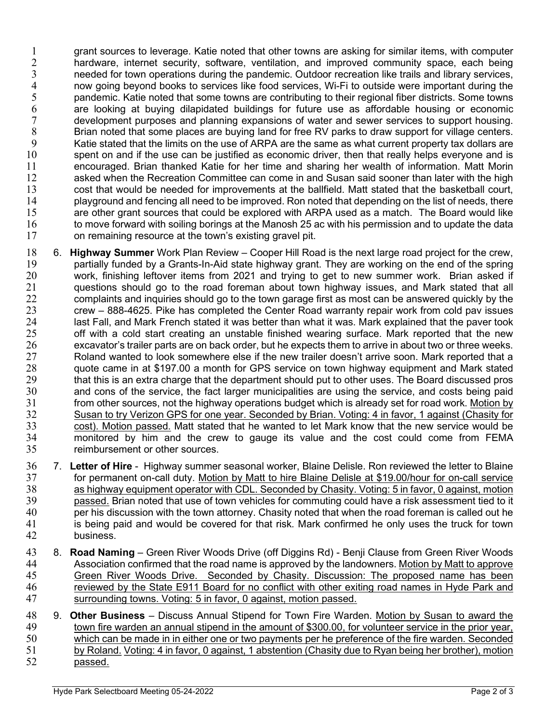1 grant sources to leverage. Katie noted that other towns are asking for similar items, with computer 2 hardware, internet security, software, ventilation, and improved community space, each being 3 needed for town operations during the pandemic. Outdoor recreation like trails and library services,<br>4 now going beyond books to services like food services, Wi-Fi to outside were important during the 4 now going beyond books to services like food services, Wi-Fi to outside were important during the<br>5 pandemic. Katie noted that some towns are contributing to their regional fiber districts. Some towns pandemic. Katie noted that some towns are contributing to their regional fiber districts. Some towns 6 are looking at buying dilapidated buildings for future use as affordable housing or economic development purposes and planning expansions of water and sewer services to support housing.<br>8 Brian noted that some places are buving land for free RV parks to draw support for village centers. Brian noted that some places are buving land for free RV parks to draw support for village centers. 9 Katie stated that the limits on the use of ARPA are the same as what current property tax dollars are 10 spent on and if the use can be justified as economic driver, then that really helps everyone and is 11 encouraged. Brian thanked Katie for her time and sharing her wealth of information. Matt Morin<br>12 asked when the Recreation Committee can come in and Susan said sooner than later with the high asked when the Recreation Committee can come in and Susan said sooner than later with the high 13 cost that would be needed for improvements at the ballfield. Matt stated that the basketball court,<br>14 playaround and fencing all need to be improved. Ron noted that depending on the list of needs, there playground and fencing all need to be improved. Ron noted that depending on the list of needs, there 15 are other grant sources that could be explored with ARPA used as a match. The Board would like 16 to move forward with soiling borings at the Manosh 25 ac with his permission and to update the data 17 on remaining resource at the town's existing gravel pit.

- 18 6. **Highway Summer** Work Plan Review Cooper Hill Road is the next large road project for the crew,<br>19 oartially funded by a Grants-In-Aid state highway grant. They are working on the end of the spring 19 partially funded by a Grants-In-Aid state highway grant. They are working on the end of the spring 20 work, finishing leftover items from 2021 and trying to get to new summer work. Brian asked if 21 questions should go to the road foreman about town highway issues, and Mark stated that all 22 complaints and inquiries should go to the town garage first as most can be answered quickly by the 23 crew – 888-4625. Pike has completed the Center Road warranty repair work from cold pav issues 24 last Fall, and Mark French stated it was better than what it was. Mark explained that the paver took<br>25 off with a cold start creating an unstable finished wearing surface. Mark reported that the new off with a cold start creating an unstable finished wearing surface. Mark reported that the new excavator's trailer parts are on back order, but he expects them to arrive in about two or three weeks.<br>27 Soland wanted to look somewhere else if the new trailer doesn't arrive soon. Mark reported that a 27 Roland wanted to look somewhere else if the new trailer doesn't arrive soon. Mark reported that a<br>28 det came in at \$197.00 a month for GPS service on town highway equipment and Mark stated quote came in at \$197.00 a month for GPS service on town highway equipment and Mark stated<br>29 that this is an extra charge that the department should put to other uses. The Board discussed pros 29 that this is an extra charge that the department should put to other uses. The Board discussed pros<br>30 and cons of the service, the fact larger municipalities are using the service, and costs being paid and cons of the service, the fact larger municipalities are using the service, and costs being paid 31 from other sources, not the highway operations budget which is already set for road work. Motion by 32 Susan to try Verizon GPS for one year. Seconded by Brian. Voting: 4 in favor, 1 against (Chasity for 33 cost). Motion passed. Matt stated that he wanted to let Mark know that the new service would be<br>34 monitored by him and the crew to gauge its value and the cost could come from FEMA monitored by him and the crew to gauge its value and the cost could come from FEMA 35 reimbursement or other sources.
- 36 7. Letter of Hire Highway summer seasonal worker, Blaine Delisle. Ron reviewed the letter to Blaine<br>37 for permanent on-call duty. Motion by Matt to hire Blaine Delisle at \$19.00/hour for on-call service for permanent on-call duty. Motion by Matt to hire Blaine Delisle at \$19.00/hour for on-call service 38 as highway equipment operator with CDL. Seconded by Chasity. Voting: 5 in favor, 0 against, motion 39 passed. Brian noted that use of town vehicles for commuting could have a risk assessment tied to it<br>40 per his discussion with the town attorney. Chasity noted that when the road foreman is called out he per his discussion with the town attorney. Chasity noted that when the road foreman is called out he 41 is being paid and would be covered for that risk. Mark confirmed he only uses the truck for town 42 business.
- 43 8. Road Naming Green River Woods Drive (off Diggins Rd) Benji Clause from Green River Woods 44 Association confirmed that the road name is approved by the landowners. Motion by Matt to approve 45 Green River Woods Drive. Seconded by Chasity. Discussion: The proposed name has been 46 reviewed by the State E911 Board for no conflict with other exiting road names in Hyde Park and 47 surrounding towns. Voting: 5 in favor, 0 against, motion passed.
- 48 9. Other Business Discuss Annual Stipend for Town Fire Warden. Motion by Susan to award the 49 town fire warden an annual stipend in the amount of \$300.00, for volunteer service in the prior year, 50 which can be made in in either one or two payments per he preference of the fire warden. Seconded 51 by Roland. Voting: 4 in favor, 0 against, 1 abstention (Chasity due to Ryan being her brother), motion 52 passed.